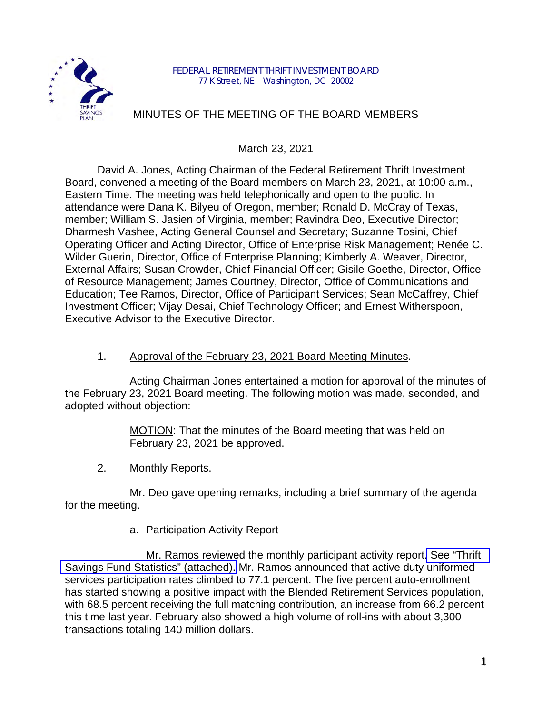

## MINUTES OF THE MEETING OF THE BOARD MEMBERS

March 23, 2021

David A. Jones, Acting Chairman of the Federal Retirement Thrift Investment Board, convened a meeting of the Board members on March 23, 2021, at 10:00 a.m., Eastern Time. The meeting was held telephonically and open to the public. In attendance were Dana K. Bilyeu of Oregon, member; Ronald D. McCray of Texas, member; William S. Jasien of Virginia, member; Ravindra Deo, Executive Director; Dharmesh Vashee, Acting General Counsel and Secretary; Suzanne Tosini, Chief Operating Officer and Acting Director, Office of Enterprise Risk Management; Renée C. Wilder Guerin, Director, Office of Enterprise Planning; Kimberly A. Weaver, Director, External Affairs; Susan Crowder, Chief Financial Officer; Gisile Goethe, Director, Office of Resource Management; James Courtney, Director, Office of Communications and Education; Tee Ramos, Director, Office of Participant Services; Sean McCaffrey, Chief Investment Officer; Vijay Desai, Chief Technology Officer; and Ernest Witherspoon, Executive Advisor to the Executive Director.

## 1. Approval of the February 23, 2021 Board Meeting Minutes.

Acting Chairman Jones entertained a motion for approval of the minutes of the February 23, 2021 Board meeting. The following motion was made, seconded, and adopted without objection:

> MOTION: That the minutes of the Board meeting that was held on February 23, 2021 be approved.

2. Monthly Reports.

Mr. Deo gave opening remarks, including a brief summary of the agenda for the meeting.

a. Participation Activity Report

Mr. Ramos reviewed the monthly participant activity report. See ["Thrift](https://www.frtib.gov/pdf/minutes/2021/Mar/MM-2021Mar-Att1.pdf)  [Savings Fund Statistics" \(attached\).](https://www.frtib.gov/pdf/minutes/2021/Mar/MM-2021Mar-Att1.pdf) Mr. Ramos announced that active duty uniformed services participation rates climbed to 77.1 percent. The five percent auto-enrollment has started showing a positive impact with the Blended Retirement Services population, with 68.5 percent receiving the full matching contribution, an increase from 66.2 percent this time last year. February also showed a high volume of roll-ins with about 3,300 transactions totaling 140 million dollars.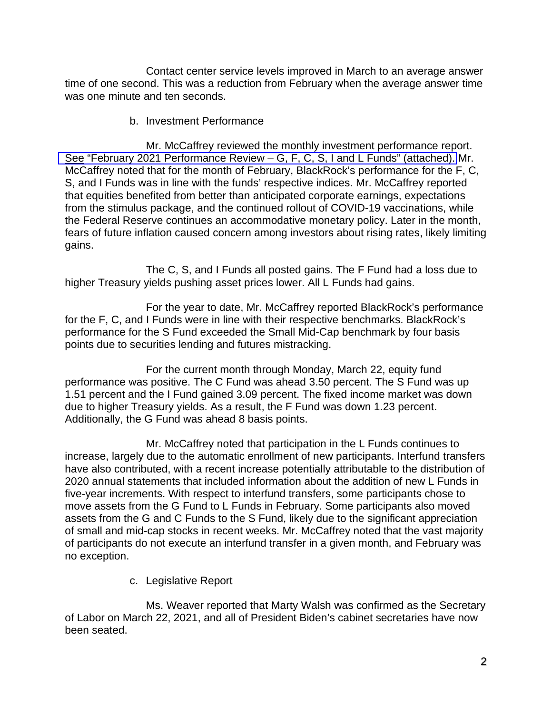Contact center service levels improved in March to an average answer time of one second. This was a reduction from February when the average answer time was one minute and ten seconds.

b. Investment Performance

Mr. McCaffrey reviewed the monthly investment performance report. See "February [2021 Performance Review – G, F, C, S, I and L Funds" \(attached\).](https://www.frtib.gov/pdf/minutes/2021/Mar/MM-2021Mar-Att2.pdf) Mr. McCaffrey noted that for the month of February, BlackRock's performance for the F, C, S, and I Funds was in line with the funds' respective indices. Mr. McCaffrey reported that equities benefited from better than anticipated corporate earnings, expectations from the stimulus package, and the continued rollout of COVID-19 vaccinations, while the Federal Reserve continues an accommodative monetary policy. Later in the month, fears of future inflation caused concern among investors about rising rates, likely limiting gains.

The C, S, and I Funds all posted gains. The F Fund had a loss due to higher Treasury yields pushing asset prices lower. All L Funds had gains.

For the year to date, Mr. McCaffrey reported BlackRock's performance for the F, C, and I Funds were in line with their respective benchmarks. BlackRock's performance for the S Fund exceeded the Small Mid-Cap benchmark by four basis points due to securities lending and futures mistracking.

For the current month through Monday, March 22, equity fund performance was positive. The C Fund was ahead 3.50 percent. The S Fund was up 1.51 percent and the I Fund gained 3.09 percent. The fixed income market was down due to higher Treasury yields. As a result, the F Fund was down 1.23 percent. Additionally, the G Fund was ahead 8 basis points.

Mr. McCaffrey noted that participation in the L Funds continues to increase, largely due to the automatic enrollment of new participants. Interfund transfers have also contributed, with a recent increase potentially attributable to the distribution of 2020 annual statements that included information about the addition of new L Funds in five-year increments. With respect to interfund transfers, some participants chose to move assets from the G Fund to L Funds in February. Some participants also moved assets from the G and C Funds to the S Fund, likely due to the significant appreciation of small and mid-cap stocks in recent weeks. Mr. McCaffrey noted that the vast majority of participants do not execute an interfund transfer in a given month, and February was no exception.

c. Legislative Report

Ms. Weaver reported that Marty Walsh was confirmed as the Secretary of Labor on March 22, 2021, and all of President Biden's cabinet secretaries have now been seated.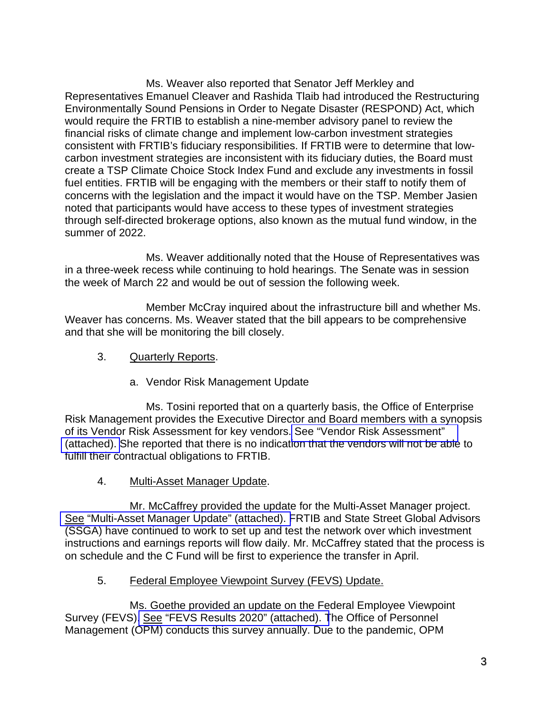Ms. Weaver also reported that Senator Jeff Merkley and Representatives Emanuel Cleaver and Rashida Tlaib had introduced the Restructuring Environmentally Sound Pensions in Order to Negate Disaster (RESPOND) Act, which would require the FRTIB to establish a nine-member advisory panel to review the financial risks of climate change and implement low-carbon investment strategies consistent with FRTIB's fiduciary responsibilities. If FRTIB were to determine that lowcarbon investment strategies are inconsistent with its fiduciary duties, the Board must create a TSP Climate Choice Stock Index Fund and exclude any investments in fossil fuel entities. FRTIB will be engaging with the members or their staff to notify them of concerns with the legislation and the impact it would have on the TSP. Member Jasien noted that participants would have access to these types of investment strategies through self-directed brokerage options, also known as the mutual fund window, in the summer of 2022.

Ms. Weaver additionally noted that the House of Representatives was in a three-week recess while continuing to hold hearings. The Senate was in session the week of March 22 and would be out of session the following week.

Member McCray inquired about the infrastructure bill and whether Ms. Weaver has concerns. Ms. Weaver stated that the bill appears to be comprehensive and that she will be monitoring the bill closely.

- 3. Quarterly Reports.
	- a. Vendor Risk Management Update

Ms. Tosini reported that on a quarterly basis, the Office of Enterprise Risk Management provides the Executive Director and Board members with a synopsis of its Vendor Risk Assessment for key vendors[. See "Vendor Risk Assessment"](https://www.frtib.gov/pdf/minutes/2021/Mar/MM-2021Mar-Att3.pdf)  [\(attached\). S](https://www.frtib.gov/pdf/minutes/2021/Mar/MM-2021Mar-Att3.pdf)he reported that there is no indication that the vendors will not be able to fulfill their contractual obligations to FRTIB.

4. Multi-Asset Manager Update.

Mr. McCaffrey provided the update for the Multi-Asset Manager project. See ["Multi-Asset Manager Update" \(attached\). F](https://www.frtib.gov/pdf/minutes/2021/Mar/MM-2021Mar-Att4.pdf)RTIB and State Street Global Advisors (SSGA) have continued to work to set up and test the network over which investment instructions and earnings reports will flow daily. Mr. McCaffrey stated that the process is on schedule and the C Fund will be first to experience the transfer in April.

5. Federal Employee Viewpoint Survey (FEVS) Update.

Ms. Goethe provided an update on the Federal Employee Viewpoint Survey (FEVS). See ["FEVS Results 2020" \(attached\). T](https://www.frtib.gov/pdf/minutes/2021/Mar/MM-2021Mar-Att5.pdf)he Office of Personnel Management (OPM) conducts this survey annually. Due to the pandemic, OPM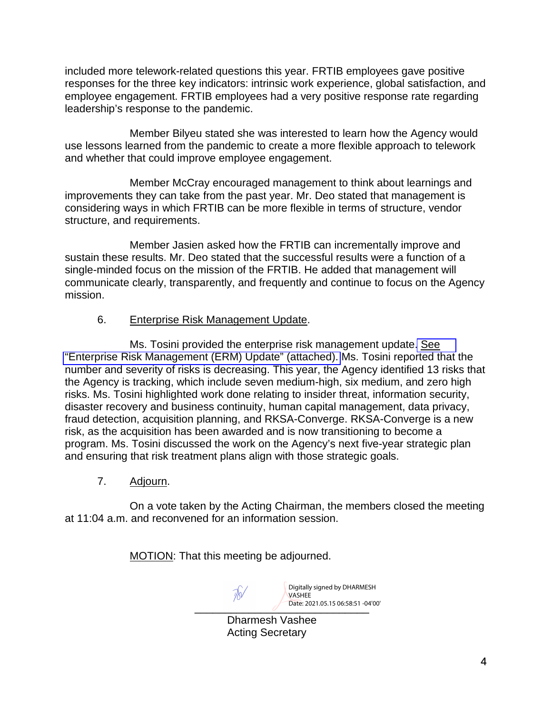included more telework-related questions this year. FRTIB employees gave positive responses for the three key indicators: intrinsic work experience, global satisfaction, and employee engagement. FRTIB employees had a very positive response rate regarding leadership's response to the pandemic.

Member Bilyeu stated she was interested to learn how the Agency would use lessons learned from the pandemic to create a more flexible approach to telework and whether that could improve employee engagement.

Member McCray encouraged management to think about learnings and improvements they can take from the past year. Mr. Deo stated that management is considering ways in which FRTIB can be more flexible in terms of structure, vendor structure, and requirements.

Member Jasien asked how the FRTIB can incrementally improve and sustain these results. Mr. Deo stated that the successful results were a function of a single-minded focus on the mission of the FRTIB. He added that management will communicate clearly, transparently, and frequently and continue to focus on the Agency mission.

## 6. Enterprise Risk Management Update.

Ms. Tosini provided the enterprise risk management update[. See](https://www.frtib.gov/pdf/minutes/2021/Mar/MM-2021Mar-Att6.pdf) ["Enterprise Risk Management \(ERM\) Update" \(attached\).](https://www.frtib.gov/pdf/minutes/2021/Mar/MM-2021Mar-Att6.pdf) Ms. Tosini reported that the number and severity of risks is decreasing. This year, the Agency identified 13 risks that the Agency is tracking, which include seven medium-high, six medium, and zero high risks. Ms. Tosini highlighted work done relating to insider threat, information security, disaster recovery and business continuity, human capital management, data privacy, fraud detection, acquisition planning, and RKSA-Converge. RKSA-Converge is a new risk, as the acquisition has been awarded and is now transitioning to become a program. Ms. Tosini discussed the work on the Agency's next five-year strategic plan and ensuring that risk treatment plans align with those strategic goals.

7. Adjourn.

On a vote taken by the Acting Chairman, the members closed the meeting at 11:04 a.m. and reconvened for an information session.

MOTION: That this meeting be adjourned.

Date: 2021.05.15 06:58:51 -04'00' Digitally signed by DHARMESH VASHEE

Dharmesh Vashee Acting Secretary